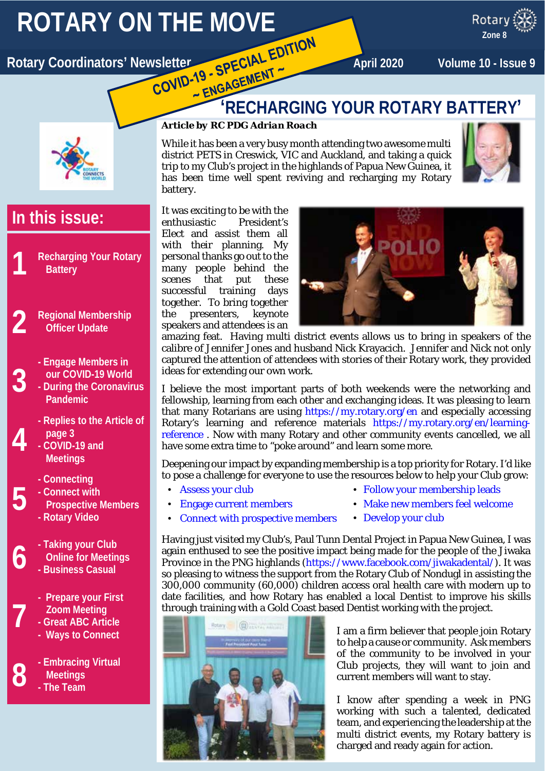# **ROTARY ON THE MOVE**<br>Department of the MOVE CONTROL CONTROL EDITION

x ROTARY Rotary Coordinators' Newsletter **April 2020 April 2020** Volume 10 - Issue 9

**Zone 8**



# **In this issue:**

- **1 Recharging Your Rotary Battery**
- **2 Regional Membership Officer Update**
	- **- Engage Members in our COVID-19 World**
	- **- During the Coronavirus Pandemic**
		- **- Replies to the Article of page 3**
		- **- COVID-19 and Meetings**

**3**

**4**

**5**

**7**

- **- Connecting**
- **- Connect with**
- **Prospective Members - Rotary Video**
- **6 - Taking your Club Online for Meetings - Business Casual**
	- **- Prepare your First Zoom Meeting**
	- **- Great ABC Article - Ways to Connect**
- **8 - Embracing Virtual Meetings - The Team**

# **ENGAGET TO BEST**<br> **ENGAGET TERM**<br> **RECHARGING YOUR ROTARY BATTERY'**

# *Article by RC PDG Adrian Roach*

While it has been a very busy month attending two awesome multi district PETS in Creswick, VIC and Auckland, and taking a quick trip to my Club's project in the highlands of Papua New Guinea, it has been time well spent reviving and recharging my Rotary battery.



It was exciting to be with the enthusiastic President's Elect and assist them all with their planning. My personal thanks go out to the many people behind the scenes that put these successful training days together. To bring together the presenters, keynote speakers and attendees is an



amazing feat. Having multi district events allows us to bring in speakers of the calibre of Jennifer Jones and husband Nick Krayacich. Jennifer and Nick not only captured the attention of attendees with stories of their Rotary work, they provided ideas for extending our own work.

I believe the most important parts of both weekends were the networking and fellowship, learning from each other and exchanging ideas. It was pleasing to learn that many Rotarians are using<https://my.rotary.org/en> and especially accessing Rotary's learning and reference materials [https://my.rotary.org/en/learning](https://my.rotary.org/en/learning-reference)[reference](https://my.rotary.org/en/learning-reference) . Now with many Rotary and other community events cancelled, we all have some extra time to "poke around" and learn some more.

Deepening our impact by expanding membership is a top priority for Rotary. I'd like to pose a challenge for everyone to use the resources below to help your Club grow:

[Assess your club](https://my.rotary.org/en/learning-reference/learn-topic/membership#assess)

- [Follow your membership leads](https://my.rotary.org/en/learning-reference/learn-topic/membership#follow)
- [Engage current members](https://my.rotary.org/en/learning-reference/learn-topic/membership#engage)
- 
- 
- [Make new members feel welcome](https://my.rotary.org/en/learning-reference/learn-topic/membership#newmembers)
- [Connect with prospective members](https://my.rotary.org/en/learning-reference/learn-topic/membership#connect) [Develop your club](https://my.rotary.org/en/learning-reference/learn-topic/membership#develop)

Having just visited my Club's, Paul Tunn Dental Project in Papua New Guinea, I was again enthused to see the positive impact being made for the people of the Jiwaka Province in the PNG highlands [\(https://www.facebook.com/jiwakadental/\)](https://www.facebook.com/jiwakadental/). It was so pleasing to witness the support from the Rotary Club of Nondugl in assisting the 300,000 community (60,000) children access oral health care with modern up to date facilities, and how Rotary has enabled a local Dentist to improve his skills through training with a Gold Coast based Dentist working with the project.



I am a firm believer that people join Rotary to help a cause or community. Ask members of the community to be involved in your Club projects, they will want to join and current members will want to stay.

I know after spending a week in PNG working with such a talented, dedicated team, and experiencing the leadership at the multi district events, my Rotary battery is charged and ready again for action.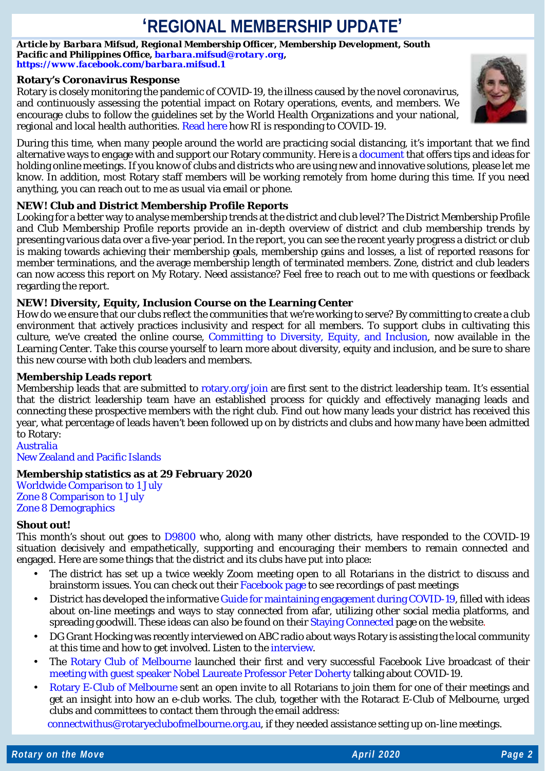# **'REGIONAL MEMBERSHIP UPDATE'**

*Article by Barbara Mifsud, Regional Membership Officer, Membership Development, South Pacific and Philippines Office, [barbara.mifsud@rotary.org,](mailto:barbara.mifsud@rotary.org) <https://www.facebook.com/barbara.mifsud.1>*

# **Rotary's Coronavirus Response**

Rotary is closely monitoring the pandemic of COVID-19, the illness caused by the novel coronavirus, and continuously assessing the potential impact on Rotary operations, events, and members. We encourage clubs to follow the guidelines set by the World Health Organizations and your national, regional and local health authorities[. Read here](https://www.rotary.org/en/rotary-monitors-coronavirus-outbreak) how RI is responding to COVID-19.



During this time, when many people around the world are practicing social distancing, it's important that we find alternative ways to engage with and support our Rotary community. Here is [a document](https://www.dropbox.com/s/c5ey3yjq7tc4pzj/Tips%20to%20Holding%20Online%20Meetings.docx?dl=0) that offers tips and ideas for holding online meetings. If you know of clubs and districts who are using new and innovative solutions, please let me know. In addition, most Rotary staff members will be working remotely from home during this time. If you need anything, you can reach out to me as usual via email or phone.

# **NEW! Club and District Membership Profile Reports**

Looking for a better way to analyse membership trends at the district and club level? The District Membership Profile and Club Membership Profile reports provide an in-depth overview of district and club membership trends by presenting various data over a five-year period. In the report, you can see the recent yearly progress a district or club is making towards achieving their membership goals, membership gains and losses, a list of reported reasons for member terminations, and the average membership length of terminated members. Zone, district and club leaders can now access this report on My Rotary. Need assistance? Feel free to reach out to me with questions or feedback regarding the report.

# **NEW! Diversity, Equity, Inclusion Course on the Learning Center**

How do we ensure that our clubs reflect the communities that we're working to serve? By committing to create a club environment that actively practices inclusivity and respect for all members. To support clubs in cultivating this culture, we've created the online course, [Committing to Diversity, Equity, and Inclusion,](https://learn.rotary.org/members/learn/course/679/CommittingtoDiversityEquityandInclusion) now available in the Learning Center. Take this course yourself to learn more about diversity, equity and inclusion, and be sure to share this new course with both club leaders and members.

# **Membership Leads report**

Membership leads that are submitted to [rotary.org/join](https://www.rotary.org/en/get-involved/join) are first sent to the district leadership team. It's essential that the district leadership team have an established process for quickly and effectively managing leads and connecting these prospective members with the right club. Find out how many leads your district has received this year, what percentage of leads haven't been followed up on by districts and clubs and how many have been admitted to Rotary: [Australia](https://www.dropbox.com/s/yij2utrnlcamufz/20200322%20-%20Australia%20-%20RMO_Membership_Leads_Success_Report%20as%20at%2029%20February%202020.pdf?dl=0)

[New Zealand and Pacific Islands](https://www.dropbox.com/s/3qevtrsz62n13dz/20200322%20-%20New%20Zealand%20-%20RMO_Membership_Leads_Success_Report%20-%2029%20February%202020.pdf?dl=0)

# **Membership statistics as at 29 February 2020**

[Worldwide Comparison to 1 July](https://www.dropbox.com/s/041pk3zxgi2084a/20200322%20-%20Worldwide%20-%20Comparison_to_start_figures_Feb_2020.pdf?dl=0) [Zone 8 Comparison to 1 July](https://www.dropbox.com/s/v9wjr473muyc75q/20200322%20-%20Zone%208%20Comparison_to_1_July%20to%2029%20February.pdf?dl=0) [Zone 8 Demographics](https://www.dropbox.com/s/okxd96rwqug0klj/20200322%20-%20Zone%208%20-%20DISTRICT_MEMBERSHIP_PROGRESS_TO_GOAL%20as%20at%2029%20February%202020.pdf?dl=0)

### **Shout out!**

This month's shout out goes to [D9800](https://www.rotarydistrict9800.org.au/?fbclid=IwAR1XeNG4Ys7YtGuD0hY6jM8ilyNO4lFUaiyXwhG2HxHRiKILLjusCJrMYe8) who, along with many other districts, have responded to the COVID-19 situation decisively and empathetically, supporting and encouraging their members to remain connected and engaged. Here are some things that the district and its clubs have put into place:

- The district has set up a twice weekly Zoom meeting open to all Rotarians in the district to discuss and brainstorm issues. You can check out their [Facebook page](https://www.facebook.com/rotarydistrict9800/) to see recordings of past meetings
- District has developed the informativ[e Guide for maintaining engagement during COVID-19,](https://www.dropbox.com/s/eve0p6uydwr1d0r/Rotary-District-9800-Guide-for-Maintaining-Engagement-during-the-COVID-19-.pdf?dl=0) filled with ideas about on-line meetings and ways to stay connected from afar, utilizing other social media platforms, and spreading goodwill. These ideas can also be found on their [Staying Connected](https://www.rotarydistrict9800.org.au/sitepage/staying-connected) page on the website.
- DG Grant Hocking was recently interviewed on ABC radio about ways Rotary is assisting the local community at this time and how to get involved. Listen to the [interview.](https://soundcloud.com/user-971893226/grant-hocking-abc-interview?fbclid=IwAR108aBdZZFa5nPs4Br6M_r8WlKmGIMtpfeQRlodF48t9m-NErIHQwxyScs)
- The [Rotary Club of Melbourne](https://rotaryclubofmelbourne.org.au/) launched their first and very successful Facebook Live broadcast of their [meeting with guest speaker Nobel Laureate Professor Peter Doherty](https://www.facebook.com/RotaryClubMelbourne/videos/571267146816131/?hc_location=ufi) talking about COVID-19.
- [Rotary E-Club of Melbourne](https://rotaryeclubofmelbourne.org.au/) sent an open invite to all Rotarians to join them for one of their meetings and get an insight into how an e-club works. The club, together with the Rotaract E-Club of Melbourne, urged clubs and committees to contact them through the email address:

[connectwithus@rotaryeclubofmelbourne.org.au,](mailto:connectwithus@rotaryeclubofmelbourne.org.au) if they needed assistance setting up on-line meetings.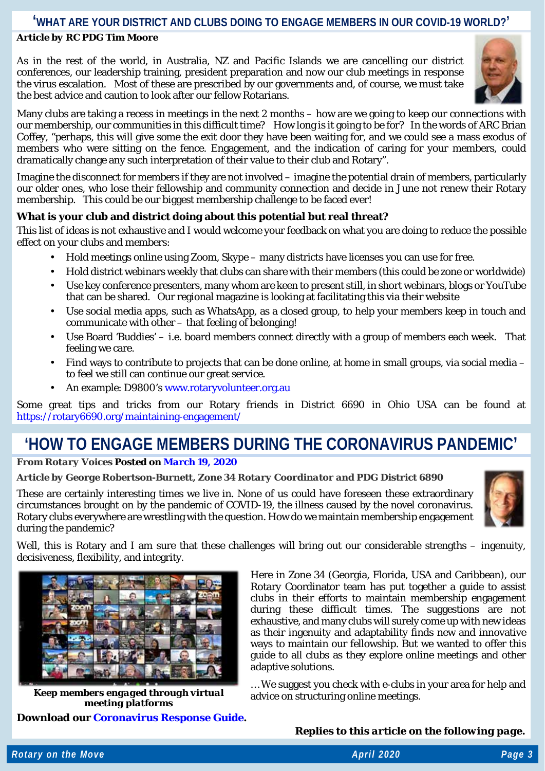# **'WHAT ARE YOUR DISTRICT AND CLUBS DOING TO ENGAGE MEMBERS IN OUR COVID-19 WORLD?'**

# *Article by RC PDG Tim Moore*

As in the rest of the world, in Australia, NZ and Pacific Islands we are cancelling our district conferences, our leadership training, president preparation and now our club meetings in response the virus escalation. Most of these are prescribed by our governments and, of course, we must take the best advice and caution to look after our fellow Rotarians.



Many clubs are taking a recess in meetings in the next 2 months – how are we going to keep our connections with our membership, our communities in this difficult time? How long is it going to be for? In the words of ARC Brian Coffey, "perhaps, this will give some the exit door they have been waiting for, and we could see a mass exodus of members who were sitting on the fence. Engagement, and the indication of caring for your members, could dramatically change any such interpretation of their value to their club and Rotary".

Imagine the disconnect for members if they are not involved – imagine the potential drain of members, particularly our older ones, who lose their fellowship and community connection and decide in June not renew their Rotary membership. This could be our biggest membership challenge to be faced ever!

# **What is your club and district doing about this potential but real threat?**

This list of ideas is not exhaustive and I would welcome your feedback on what you are doing to reduce the possible effect on your clubs and members:

- Hold meetings online using Zoom, Skype many districts have licenses you can use for free.
- Hold district webinars weekly that clubs can share with their members (this could be zone or worldwide)
- Use key conference presenters, many whom are keen to present still, in short webinars, blogs or YouTube that can be shared. Our regional magazine is looking at facilitating this via their website
- Use social media apps, such as WhatsApp, as a closed group, to help your members keep in touch and communicate with other – that feeling of belonging!
- Use Board 'Buddies' i.e. board members connect directly with a group of members each week. That feeling we care.
- Find ways to contribute to projects that can be done online, at home in small groups, via social media to feel we still can continue our great service.
- An example: D9800's [www.rotaryvolunteer.org.au](http://www.rotaryvolunteer.org.au/)

Some great tips and tricks from our Rotary friends in District 6690 in Ohio USA can be found at <https://rotary6690.org/maintaining-engagement/>

# **'HOW TO ENGAGE MEMBERS DURING THE CORONAVIRUS PANDEMIC'**

# *From Rotary Voices Posted on [March](https://blog.rotary.org/2020/03/19/how-to-engage-members-during-the-coronavirus-pandemic/) 19, 2020*

# *Article by George Robertson-Burnett, Zone 34 Rotary Coordinator and PDG District 6890*

These are certainly interesting times we live in. None of us could have foreseen these extraordinary circumstances brought on by the pandemic of COVID-19, the illness caused by the novel coronavirus. Rotary clubs everywhere are wrestling with the question. How do we maintain membership engagement during the pandemic?



Well, this is Rotary and I am sure that these challenges will bring out our considerable strengths – ingenuity, decisiveness, flexibility, and integrity.



*Keep members engaged through virtual meeting platforms*

**Download our [Coronavirus](https://rotaryinternationalblog.files.wordpress.com/2020/03/coronavirus-response-guide.pdf) Response Guide.**

Here in Zone 34 (Georgia, Florida, USA and Caribbean), our Rotary Coordinator team has put together a guide to assist clubs in their efforts to maintain membership engagement during these difficult times. The suggestions are not exhaustive, and many clubs will surely come up with new ideas as their ingenuity and adaptability finds new and innovative ways to maintain our fellowship. But we wanted to offer this guide to all clubs as they explore online meetings and other adaptive solutions.

… We suggest you check with e-clubs in your area for help and advice on structuring online meetings.

*Replies to this article on the following page.*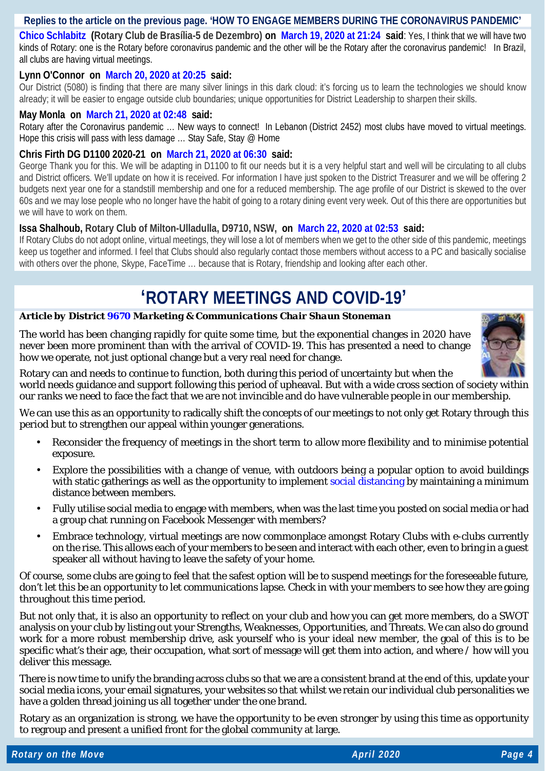# **Replies to the article on the previous page. 'HOW TO ENGAGE MEMBERS DURING THE CORONAVIRUS PANDEMIC'**

**Chico [Schlabitz](http://fortalecimentodorotary.wordpress.com/) (Rotary Club de Brasília-5 de Dezembro) on [March](https://blog.rotary.org/2020/03/19/how-to-engage-members-during-the-coronavirus-pandemic/#comment-120490) 19, 2020 at 21:24 said**: Yes, I think that we will have two kinds of Rotary: one is the Rotary before coronavirus pandemic and the other will be the Rotary after the coronavirus pandemic! In Brazil, all clubs are having virtual meetings.

# **Lynn O'Connor on [March](https://blog.rotary.org/2020/03/19/how-to-engage-members-during-the-coronavirus-pandemic/#comment-120643) 20, 2020 at 20:25 said:**

Our District (5080) is finding that there are many silver linings in this dark cloud: it's forcing us to learn the technologies we should know already; it will be easier to engage outside club boundaries; unique opportunities for District Leadership to sharpen their skills.

# **May Monla on [March](https://blog.rotary.org/2020/03/19/how-to-engage-members-during-the-coronavirus-pandemic/#comment-120655) 21, 2020 at 02:48 said:**

Rotary after the Coronavirus pandemic … New ways to connect! In Lebanon (District 2452) most clubs have moved to virtual meetings. Hope this crisis will pass with less damage ... Stay Safe, Stay @ Home

# **Chris Firth DG D1100 2020-21 on [March](https://blog.rotary.org/2020/03/19/how-to-engage-members-during-the-coronavirus-pandemic/#comment-120686) 21, 2020 at 06:30 said:**

George Thank you for this. We will be adapting in D1100 to fit our needs but it is a very helpful start and well will be circulating to all clubs and District officers. We'll update on how it is received. For information I have just spoken to the District Treasurer and we will be offering 2 budgets next year one for a standstill membership and one for a reduced membership. The age profile of our District is skewed to the over 60s and we may lose people who no longer have the habit of going to a rotary dining event very week. Out of this there are opportunities but we will have to work on them.

# **Issa Shalhoub, Rotary Club of Milton-Ulladulla, D9710, NSW, on [March](https://blog.rotary.org/2020/03/19/how-to-engage-members-during-the-coronavirus-pandemic/#comment-120760) 22, 2020 at 02:53 said:**

If Rotary Clubs do not adopt online, virtual meetings, they will lose a lot of members when we get to the other side of this pandemic, meetings keep us together and informed. I feel that Clubs should also regularly contact those members without access to a PC and basically socialise with others over the phone, Skype, FaceTime … because that is Rotary, friendship and looking after each other.

# **'ROTARY MEETINGS AND COVID-19'**

### *Article by District [9670](https://www.rotary9670.org.au/) Marketing & Communications Chair Shaun Stoneman*

The world has been changing rapidly for quite some time, but the exponential changes in 2020 have never been more prominent than with the arrival of COVID-19. This has presented a need to change how we operate, not just optional change but a very real need for change.



Rotary can and needs to continue to function, both during this period of uncertainty but when the

world needs guidance and support following this period of upheaval. But with a wide cross section of society within our ranks we need to face the fact that we are not invincible and do have vulnerable people in our membership.

We can use this as an opportunity to radically shift the concepts of our meetings to not only get Rotary through this period but to strengthen our appeal within younger generations.

- Reconsider the frequency of meetings in the short term to allow more flexibility and to minimise potential exposure.
- Explore the possibilities with a change of venue, with outdoors being a popular option to avoid buildings with static gatherings as well as the opportunity to implement [social distancing](https://www.health.nsw.gov.au/Infectious/factsheets/Pages/social-distancing.aspx#steps) by maintaining a minimum distance between members.
- Fully utilise social media to engage with members, when was the last time you posted on social media or had a group chat running on Facebook Messenger with members?
- Embrace technology, virtual meetings are now commonplace amongst Rotary Clubs with e-clubs currently on the rise. This allows each of your members to be seen and interact with each other, even to bring in a guest speaker all without having to leave the safety of your home.

Of course, some clubs are going to feel that the safest option will be to suspend meetings for the foreseeable future, don't let this be an opportunity to let communications lapse. Check in with your members to see how they are going throughout this time period.

But not only that, it is also an opportunity to reflect on your club and how you can get more members, do a SWOT analysis on your club by listing out your Strengths, Weaknesses, Opportunities, and Threats. We can also do ground work for a more robust membership drive, ask yourself who is your ideal new member, the goal of this is to be specific what's their age, their occupation, what sort of message will get them into action, and where / how will you deliver this message.

There is now time to unify the branding across clubs so that we are a consistent brand at the end of this, update your social media icons, your email signatures, your websites so that whilst we retain our individual club personalities we have a golden thread joining us all together under the one brand.

Rotary as an organization is strong, we have the opportunity to be even stronger by using this time as opportunity to regroup and present a unified front for the global community at large.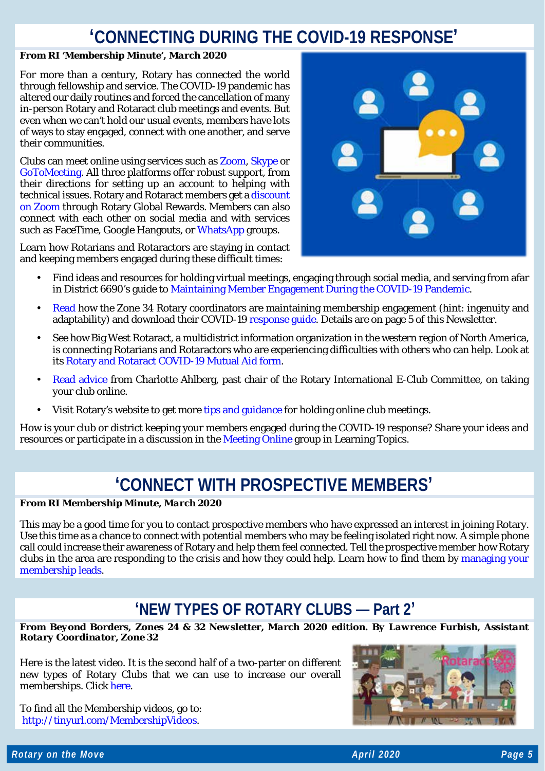# **'CONNECTING DURING THE COVID-19 RESPONSE'**

# *From RI 'Membership Minute', March 2020*

For more than a century, Rotary has connected the world through fellowship and service. The COVID-19 pandemic has altered our daily routines and forced the cancellation of many in-person Rotary and Rotaract club meetings and events. But even when we can't hold our usual events, members have lots of ways to stay engaged, connect with one another, and serve their communities.

Clubs can meet online using services such as [Zoom,](http://msgfocus.rotary.org/c/11vwNwDZruoihkgbJOePSNooz4DC) [Skype](http://msgfocus.rotary.org/c/11vwNzphhYy1gpRrR3CVuibx4uWe) or [GoToMeeting.](http://msgfocus.rotary.org/c/11vwNAMVddCSKXF4UGjYi2A6kd5x) All three platforms offer robust support, from their directions for setting up an account to helping with technical issues. Rotary and Rotaract members get [a discount](http://msgfocus.rotary.org/c/11vwNCaz8sHKfvsHYj115MYFzVeQ)  [on Zoom](http://msgfocus.rotary.org/c/11vwNCaz8sHKfvsHYj115MYFzVeQ) through Rotary Global Rewards. Members can also connect with each other on social media and with services such as FaceTime, Google Hangouts, or [WhatsApp](http://msgfocus.rotary.org/c/11vwNDyd3HMBK3gl1VI3TxnePDo9) groups.

Learn how Rotarians and Rotaractors are staying in contact and keeping members engaged during these difficult times:



- Find ideas and resources for holding virtual meetings, engaging through social media, and serving from afar in District 6690's guide to [Maintaining Member Engagement During the COVID-19 Pandemic.](http://msgfocus.rotary.org/c/11vwNEVQYWRteB3Y5yp6HhLO5lxs)
- [Read](http://msgfocus.rotary.org/c/11vwNGjuUbWkJ8RB9b69v2anl3GL) how the Zone 34 Rotary coordinators are maintaining membership engagement (hint: ingenuity and adaptability) and download their COVID-19 [response guide.](http://msgfocus.rotary.org/c/11vwNHH8Pr1cdGFecNNciMyWALQ4) Details are on page 5 of this Newsletter.
- See how Big West Rotaract, a multidistrict information organization in the western region of North America, is connecting Rotarians and Rotaractors who are experiencing difficulties with others who can help. Look at its [Rotary and Rotaract COVID-19 Mutual Aid form.](http://msgfocus.rotary.org/c/11vwNJ4MKG63IesRgquf6wXvQtZn)
- [Read advice](http://msgfocus.rotary.org/c/11vwNKsqFVaVcMguk3bhUhm56c8G) from Charlotte Ahlberg, past chair of the Rotary International E-Club Committee, on taking your club online.
- Visit Rotary's website to get more [tips and guidance](http://msgfocus.rotary.org/c/11vwNLQ4BafMHk47nFSkI1KElUhZ) for holding online club meetings.

How is your club or district keeping your members engaged during the COVID-19 response? Share your ideas and resources or participate in a discussion in th[e Meeting Online](http://msgfocus.rotary.org/c/11vwNOBmrEpvGpFnuVgqjwxMRkAB) group in Learning Topics.

# **'CONNECT WITH PROSPECTIVE MEMBERS'**

# *From RI Membership Minute, March 2020*

This may be a good time for you to contact prospective members who have expressed an interest in joining Rotary. Use this time as a chance to connect with potential members who may be feeling isolated right now. A simple phone call could increase their awareness of Rotary and help them feel connected. Tell the prospective member how Rotary clubs in the area are responding to the crisis and how they could help. Learn how to find them by [managing your](http://msgfocus.rotary.org/c/11vwNU7W8CIXEARTJq2Bww83SbbP)  [membership leads.](http://msgfocus.rotary.org/c/11vwNU7W8CIXEARTJq2Bww83SbbP)

# **'NEW TYPES OF ROTARY CLUBS — Part 2'**

*From Beyond Borders, Zones 24 & 32 Newsletter, March 2020 edition. By Lawrence Furbish, Assistant Rotary Coordinator, Zone 32* 

Here is the latest video. It is the second half of a two-parter on different new types of Rotary Clubs that we can use to increase our overall memberships. Click [here.](https://www.youtube.com/watch?v=WhNFJhCzBY0&list=PLCdJHVuTrjFNZAbw3lgzaAyPtJ88hH3Q&index=16&t=0s)

To find all the Membership videos, go to: [http://tinyurl.com/MembershipVideos.](http://tinyurl.com/MembershipVideos)

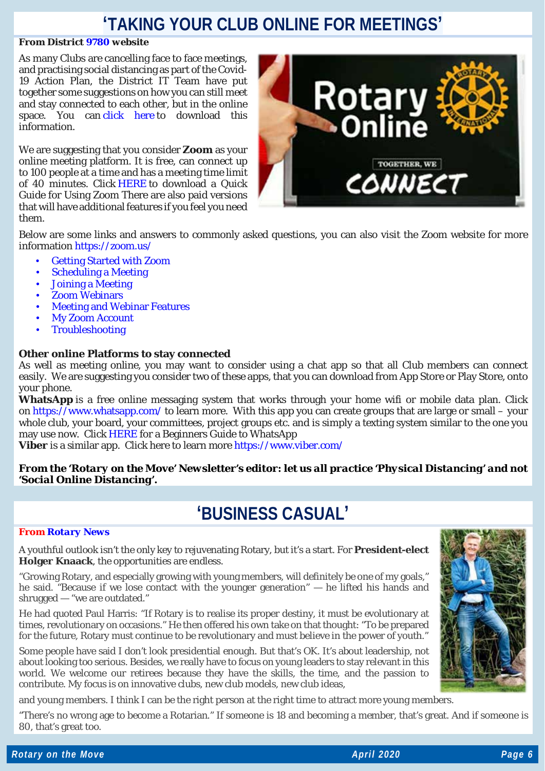# **'TAKING YOUR CLUB ONLINE FOR MEETINGS'**

### *From District [9780](https://rotary9780.org/) website*

As many Clubs are cancelling face to face meetings, and practising social distancing as part of the Covid-19 Action Plan, the District IT Team have put together some suggestions on how you can still meet and stay connected to each other, but in the online space. You can [click here](https://rotary9780-my.sharepoint.com/:b:/g/personal/howard_rotary9780_org/Ec3y0lsfKdRElHz-Y8AY-MEBmVuLbWHaWvbTku0YrZ_gug?e=fGbjVy) to download this information.

We are suggesting that you consider **Zoom** as your online meeting platform. It is free, can connect up to 100 people at a time and has a meeting time limit of 40 minutes. Click [HERE](https://portal.clubrunner.ca/50058/Documents/en-ca/3bce7d97-c50d-4134-86f2-dbb448002cac/1/) to download a Quick Guide for Using Zoom There are also paid versions that will have additional features if you feel you need them.



Below are some links and answers to commonly asked questions, you can also visit the Zoom website for more information <https://zoom.us/>

- [Getting Started with Zoom](https://support.zoom.us/hc/en-us/articles/206175806-Top-Questions#h_12512067-340a-4ca9-8d5b-f52a7ed016fb)
- [Scheduling a Meeting](https://support.zoom.us/hc/en-us/articles/206175806-Top-Questions#h_8b348e29-257e-45fd-a3f2-f16de2dad06b)
- [Joining a Meeting](https://support.zoom.us/hc/en-us/articles/206175806-Top-Questions#h_bd83fa44-e32f-47b6-8fd6-0e2d1eb6077b)
- [Zoom Webinars](https://support.zoom.us/hc/en-us/articles/206175806-Top-Questions#h_1b7353e1-284a-4996-9687-d8a347b54bf5)
- [Meeting and Webinar Features](https://support.zoom.us/hc/en-us/articles/206175806-Top-Questions#h_3c31da61-cc08-4978-8b64-d3af2e749fa1)
- [My Zoom Account](https://support.zoom.us/hc/en-us/articles/206175806-Top-Questions#h_bc177086-6d17-4847-a31b-cf29b9b87974)
- [Troubleshooting](https://support.zoom.us/hc/en-us/articles/206175806-Top-Questions#h_8f38d3af-506f-4c33-8269-4b649d5c1aee)

### **Other online Platforms to stay connected**

As well as meeting online, you may want to consider using a chat app so that all Club members can connect easily. We are suggesting you consider two of these apps, that you can download from App Store or Play Store, onto your phone.

**WhatsApp** is a free online messaging system that works through your home wifi or mobile data plan. Click on <https://www.whatsapp.com/> to learn more. With this app you can create groups that are large or small – your whole club, your board, your committees, project groups etc. and is simply a texting system similar to the one you may use now. Click [HERE](https://portal.clubrunner.ca/50058/Documents/en-ca/6ec5f1d0-d534-481b-aa06-5ee2c6b420bc/1/) for a Beginners Guide to WhatsApp

**Viber** is a similar app. Click here to learn more <https://www.viber.com/>

# *From the 'Rotary on the Move' Newsletter's editor: let us all practice 'Physical Distancing' and not 'Social Online Distancing'.*

# **'BUSINESS CASUAL'**

### *From [Rotary News](https://rotarynewsonline.org/?author=45)*

A youthful outlook isn't the only key to rejuvenating Rotary, but it's a start. For **President-elect Holger Knaack**, the opportunities are endless.

"Growing Rotary, and especially growing with young members, will definitely be one of my goals," he said. "Because if we lose contact with the younger generation" — he lifted his hands and shrugged — "we are outdated."

He had quoted Paul Harris: "If Rotary is to realise its proper destiny, it must be evolutionary at times, revolutionary on occasions." He then offered his own take on that thought: "To be prepared for the future, Rotary must continue to be revolutionary and must believe in the power of youth."

Some people have said I don't look presidential enough. But that's OK. It's about leadership, not about looking too serious. Besides, we really have to focus on young leaders to stay relevant in this world. We welcome our retirees because they have the skills, the time, and the passion to contribute. My focus is on innovative clubs, new club models, new club ideas,

and young members. I think I can be the right person at the right time to attract more young members.

"There's no wrong age to become a Rotarian." If someone is 18 and becoming a member, that's great. And if someone is 80, that's great too.

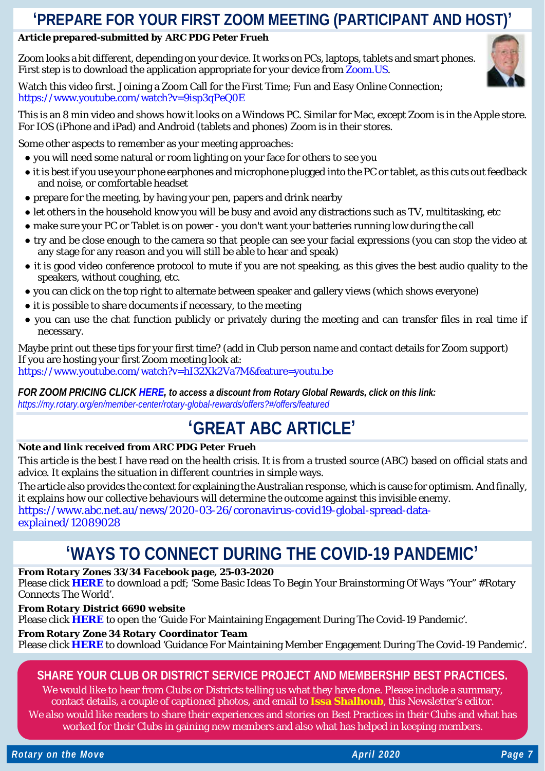# **'PREPARE FOR YOUR FIRST ZOOM MEETING (PARTICIPANT AND HOST)'**

# *Article prepared-submitted by ARC PDG Peter Frueh*

Zoom looks a bit different, depending on your device. It works on PCs, laptops, tablets and smart phones. First step is to download the application appropriate for your device from [Zoom.US.](https://zoom.us/)



Watch this video first. Joining a Zoom Call for the First Time; Fun and Easy Online Connection; <https://www.youtube.com/watch?v=9isp3qPeQ0E>

This is an 8 min video and shows how it looks on a Windows PC. Similar for Mac, except Zoom is in the Apple store. For IOS (iPhone and iPad) and Android (tablets and phones) Zoom is in their stores.

Some other aspects to remember as your meeting approaches:

- you will need some natural or room lighting on your face for others to see you
- it is best if you use your phone earphones and microphone plugged into the PC or tablet, as this cuts out feedback and noise, or comfortable headset
- prepare for the meeting, by having your pen, papers and drink nearby
- let others in the household know you will be busy and avoid any distractions such as TV, multitasking, etc
- make sure your PC or Tablet is on power you don't want your batteries running low during the call
- try and be close enough to the camera so that people can see your facial expressions (you can stop the video at any stage for any reason and you will still be able to hear and speak)
- it is good video conference protocol to mute if you are not speaking, as this gives the best audio quality to the speakers, without coughing, etc.
- you can click on the top right to alternate between speaker and gallery views (which shows everyone)
- it is possible to share documents if necessary, to the meeting
- you can use the chat function publicly or privately during the meeting and can transfer files in real time if necessary.

Maybe print out these tips for your first time? (add in Club person name and contact details for Zoom support) If you are hosting your first Zoom meeting look at: <https://www.youtube.com/watch?v=hI32Xk2Va7M&feature=youtu.be>

*FOR ZOOM PRICING CLICK [HERE,](https://zoom.us/pricing) to access a discount from Rotary Global Rewards, click on this link: <https://my.rotary.org/en/member-center/rotary-global-rewards/offers?#/offers/featured>*

# **'GREAT ABC ARTICLE'**

# *Note and link received from ARC PDG Peter Frueh*

This article is the best I have read on the health crisis. It is from a trusted source (ABC) based on official stats and advice. It explains the situation in different countries in simple ways.

The article also provides the context for explaining the Australian response, which is cause for optimism. And finally, it explains how our collective behaviours will determine the outcome against this invisible enemy. [https://www.abc.net.au/news/2020-03-26/coronavirus-covid19-global-spread-data](https://www.abc.net.au/news/2020-03-26/coronavirus-covid19-global-spread-data-explained/12089028)[explained/12089028](https://www.abc.net.au/news/2020-03-26/coronavirus-covid19-global-spread-data-explained/12089028)

# **'WAYS TO CONNECT DURING THE COVID-19 PANDEMIC'**

# *From Rotary Zones 33/34 Facebook page, 25-03-2020*

Please click **[HERE](https://www.facebook.com/download/1861837803951971/Alternatives%20Ideas.pdf?av=100001125009299&eav=AfbwxOHUCn5MOle5EiqksrdIyMqv1oS9pTqOtOPiPk7eENrxNoXwxhYjie5DMp_fBqw&hash=AcpzNXQKy1VunVGg)** to download a pdf; 'Some Basic Ideas To Begin Your Brainstorming Of Ways "Your" #Rotary Connects The World'.

*From Rotary District 6690 website*

Please click **[HERE](https://rotary6690.org/maintaining-engagement/)** to open the 'Guide For Maintaining Engagement During The Covid-19 Pandemic'.

# *From Rotary Zone 34 Rotary Coordinator Team*

Please click **[HERE](https://rotaryinternationalblog.files.wordpress.com/2020/03/coronavirus-response-guide.pdf)** to download 'Guidance For Maintaining Member Engagement During The Covid-19 Pandemic'.

# **SHARE YOUR CLUB OR DISTRICT SERVICE PROJECT AND MEMBERSHIP BEST PRACTICES.**

We would like to hear from Clubs or Districts telling us what they have done. Please include a summary, contact details, a couple of captioned photos, and email to **[Issa Shalhoub](mailto:drissa@bigpond.com)**, this Newsletter's editor*.* We also would like readers to share their experiences and stories on Best Practices in their Clubs and what has

worked for their Clubs in gaining new members and also what has helped in keeping members.